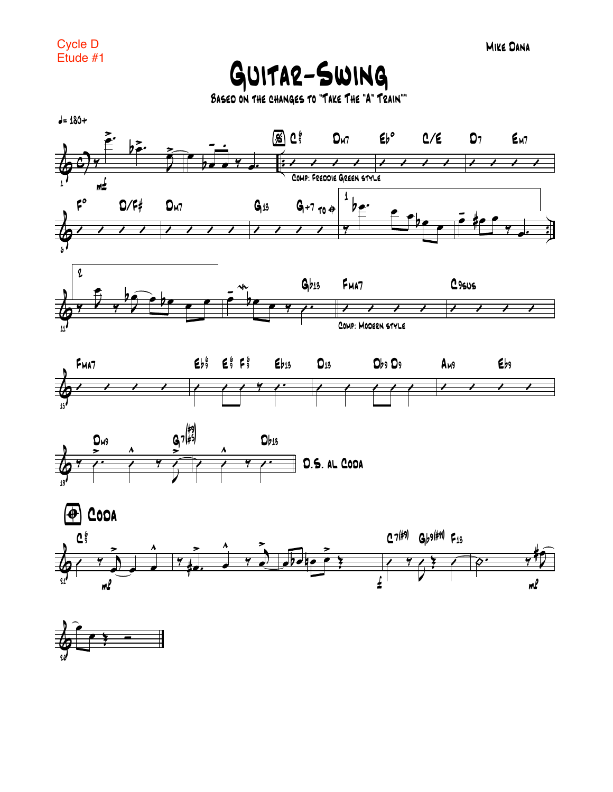

BASED ON THE CHANGES TO "TAKE THE "A" TRAIN""



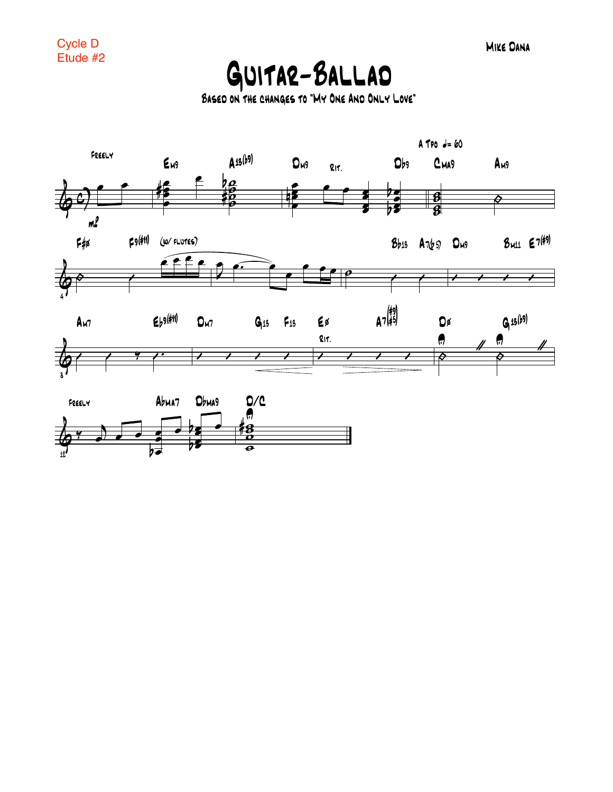**MIKE DANA** 

## GUITAR-BALLAD

BASED ON THE CHANGES TO "MY ONE AND ONLY LOVE"